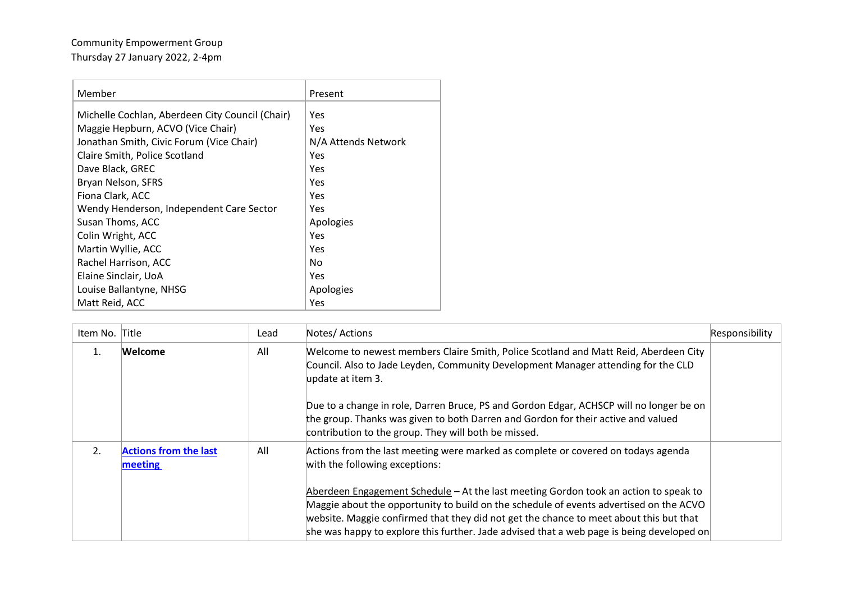## Community Empowerment Group Thursday 27 January 2022, 2-4pm

| Member                                          | Present             |
|-------------------------------------------------|---------------------|
| Michelle Cochlan, Aberdeen City Council (Chair) | Yes                 |
| Maggie Hepburn, ACVO (Vice Chair)               | Yes                 |
| Jonathan Smith, Civic Forum (Vice Chair)        | N/A Attends Network |
| Claire Smith, Police Scotland                   | Yes                 |
| Dave Black, GREC                                | Yes                 |
| Bryan Nelson, SFRS                              | Yes                 |
| Fiona Clark, ACC                                | Yes                 |
| Wendy Henderson, Independent Care Sector        | Yes                 |
| Susan Thoms, ACC                                | Apologies           |
| Colin Wright, ACC                               | Yes                 |
| Martin Wyllie, ACC                              | Yes                 |
| Rachel Harrison, ACC                            | No                  |
| Elaine Sinclair, UoA                            | Yes                 |
| Louise Ballantyne, NHSG                         | Apologies           |
| Matt Reid, ACC                                  | Yes                 |

| Item No. Title |                                         | Lead | Notes/ Actions                                                                                                                                                                                                                                                                                                                                                        | Responsibility |
|----------------|-----------------------------------------|------|-----------------------------------------------------------------------------------------------------------------------------------------------------------------------------------------------------------------------------------------------------------------------------------------------------------------------------------------------------------------------|----------------|
|                | Welcome                                 | All  | Welcome to newest members Claire Smith, Police Scotland and Matt Reid, Aberdeen City<br>Council. Also to Jade Leyden, Community Development Manager attending for the CLD<br>update at item 3.                                                                                                                                                                        |                |
|                |                                         |      | Due to a change in role, Darren Bruce, PS and Gordon Edgar, ACHSCP will no longer be on<br>the group. Thanks was given to both Darren and Gordon for their active and valued<br>contribution to the group. They will both be missed.                                                                                                                                  |                |
| 2.             | <b>Actions from the last</b><br>meeting | All  | Actions from the last meeting were marked as complete or covered on todays agenda<br>with the following exceptions:                                                                                                                                                                                                                                                   |                |
|                |                                         |      | Aberdeen Engagement Schedule – At the last meeting Gordon took an action to speak to<br>Maggie about the opportunity to build on the schedule of events advertised on the ACVO<br>website. Maggie confirmed that they did not get the chance to meet about this but that<br>she was happy to explore this further. Jade advised that a web page is being developed on |                |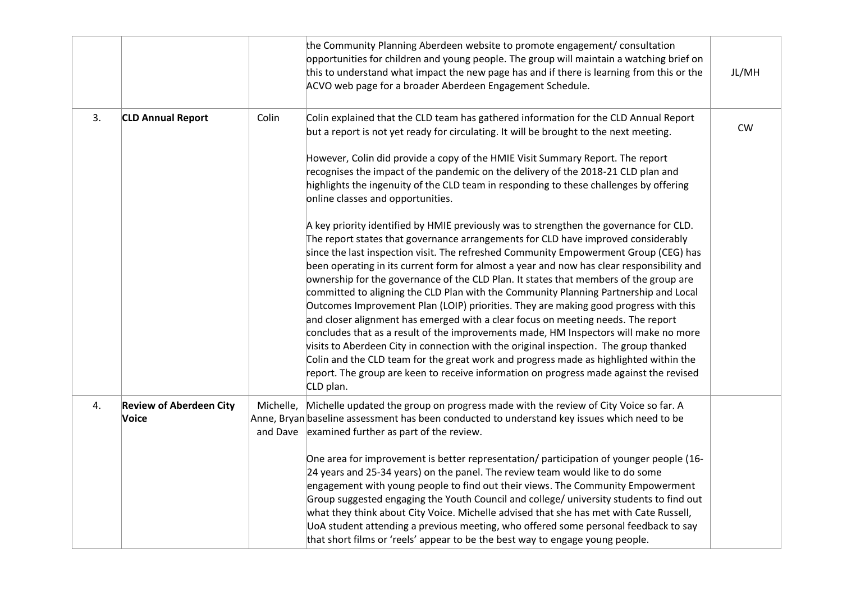|    |                                         |           | the Community Planning Aberdeen website to promote engagement/ consultation<br>opportunities for children and young people. The group will maintain a watching brief on<br>this to understand what impact the new page has and if there is learning from this or the<br>ACVO web page for a broader Aberdeen Engagement Schedule.                                                                                                                                                                                                                                                                                                                                                                                                                                                                                                                                                                                                                                                                                                                                                                                                                                                                                                                                                                                                                                                                                                                                                                                                                                                                      | JL/MH |
|----|-----------------------------------------|-----------|--------------------------------------------------------------------------------------------------------------------------------------------------------------------------------------------------------------------------------------------------------------------------------------------------------------------------------------------------------------------------------------------------------------------------------------------------------------------------------------------------------------------------------------------------------------------------------------------------------------------------------------------------------------------------------------------------------------------------------------------------------------------------------------------------------------------------------------------------------------------------------------------------------------------------------------------------------------------------------------------------------------------------------------------------------------------------------------------------------------------------------------------------------------------------------------------------------------------------------------------------------------------------------------------------------------------------------------------------------------------------------------------------------------------------------------------------------------------------------------------------------------------------------------------------------------------------------------------------------|-------|
| 3. | <b>CLD Annual Report</b>                | Colin     | Colin explained that the CLD team has gathered information for the CLD Annual Report<br>but a report is not yet ready for circulating. It will be brought to the next meeting.<br>However, Colin did provide a copy of the HMIE Visit Summary Report. The report<br>recognises the impact of the pandemic on the delivery of the 2018-21 CLD plan and<br>highlights the ingenuity of the CLD team in responding to these challenges by offering<br>online classes and opportunities.<br>A key priority identified by HMIE previously was to strengthen the governance for CLD.<br>The report states that governance arrangements for CLD have improved considerably<br>since the last inspection visit. The refreshed Community Empowerment Group (CEG) has<br>been operating in its current form for almost a year and now has clear responsibility and<br>ownership for the governance of the CLD Plan. It states that members of the group are<br>committed to aligning the CLD Plan with the Community Planning Partnership and Local<br>Outcomes Improvement Plan (LOIP) priorities. They are making good progress with this<br>and closer alignment has emerged with a clear focus on meeting needs. The report<br>concludes that as a result of the improvements made, HM Inspectors will make no more<br>visits to Aberdeen City in connection with the original inspection. The group thanked<br>Colin and the CLD team for the great work and progress made as highlighted within the<br>report. The group are keen to receive information on progress made against the revised<br>CLD plan. | CW    |
| 4. | <b>Review of Aberdeen City</b><br>Voice | Michelle, | Michelle updated the group on progress made with the review of City Voice so far. A<br>Anne, Bryan baseline assessment has been conducted to understand key issues which need to be<br>and Dave examined further as part of the review.<br>One area for improvement is better representation/ participation of younger people (16-<br>24 years and 25-34 years) on the panel. The review team would like to do some<br>engagement with young people to find out their views. The Community Empowerment<br>Group suggested engaging the Youth Council and college/ university students to find out<br>what they think about City Voice. Michelle advised that she has met with Cate Russell,<br>UoA student attending a previous meeting, who offered some personal feedback to say<br>that short films or 'reels' appear to be the best way to engage young people.                                                                                                                                                                                                                                                                                                                                                                                                                                                                                                                                                                                                                                                                                                                                    |       |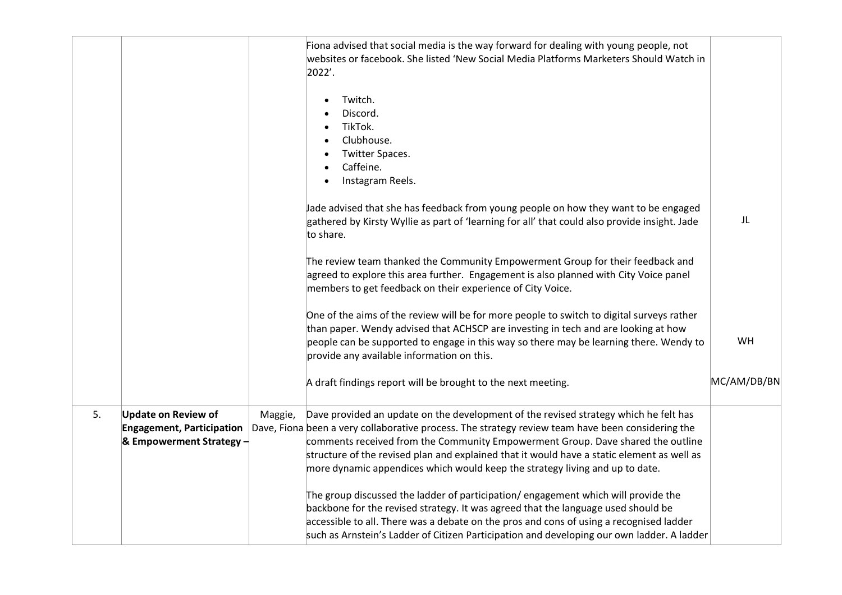|    |                                                                                            |         | Fiona advised that social media is the way forward for dealing with young people, not<br>websites or facebook. She listed 'New Social Media Platforms Marketers Should Watch in<br>2022'.<br>Twitch.<br>$\bullet$<br>Discord.<br>TikTok.<br>$\bullet$<br>Clubhouse.<br>Twitter Spaces.<br>Caffeine.<br>Instagram Reels.<br>$\bullet$                                                                                                                       |             |
|----|--------------------------------------------------------------------------------------------|---------|------------------------------------------------------------------------------------------------------------------------------------------------------------------------------------------------------------------------------------------------------------------------------------------------------------------------------------------------------------------------------------------------------------------------------------------------------------|-------------|
|    |                                                                                            |         | Jade advised that she has feedback from young people on how they want to be engaged<br>gathered by Kirsty Wyllie as part of 'learning for all' that could also provide insight. Jade<br>to share.                                                                                                                                                                                                                                                          | JL          |
|    |                                                                                            |         | The review team thanked the Community Empowerment Group for their feedback and<br>agreed to explore this area further. Engagement is also planned with City Voice panel<br>members to get feedback on their experience of City Voice.                                                                                                                                                                                                                      |             |
|    |                                                                                            |         | One of the aims of the review will be for more people to switch to digital surveys rather<br>than paper. Wendy advised that ACHSCP are investing in tech and are looking at how<br>people can be supported to engage in this way so there may be learning there. Wendy to<br>provide any available information on this.                                                                                                                                    | <b>WH</b>   |
|    |                                                                                            |         | A draft findings report will be brought to the next meeting.                                                                                                                                                                                                                                                                                                                                                                                               | MC/AM/DB/BN |
| 5. | <b>Update on Review of</b><br><b>Engagement, Participation</b><br>& Empowerment Strategy - | Maggie, | Dave provided an update on the development of the revised strategy which he felt has<br>Dave, Fiona been a very collaborative process. The strategy review team have been considering the<br>comments received from the Community Empowerment Group. Dave shared the outline<br>structure of the revised plan and explained that it would have a static element as well as<br>more dynamic appendices which would keep the strategy living and up to date. |             |
|    |                                                                                            |         | The group discussed the ladder of participation/engagement which will provide the<br>backbone for the revised strategy. It was agreed that the language used should be<br>accessible to all. There was a debate on the pros and cons of using a recognised ladder<br>such as Arnstein's Ladder of Citizen Participation and developing our own ladder. A ladder                                                                                            |             |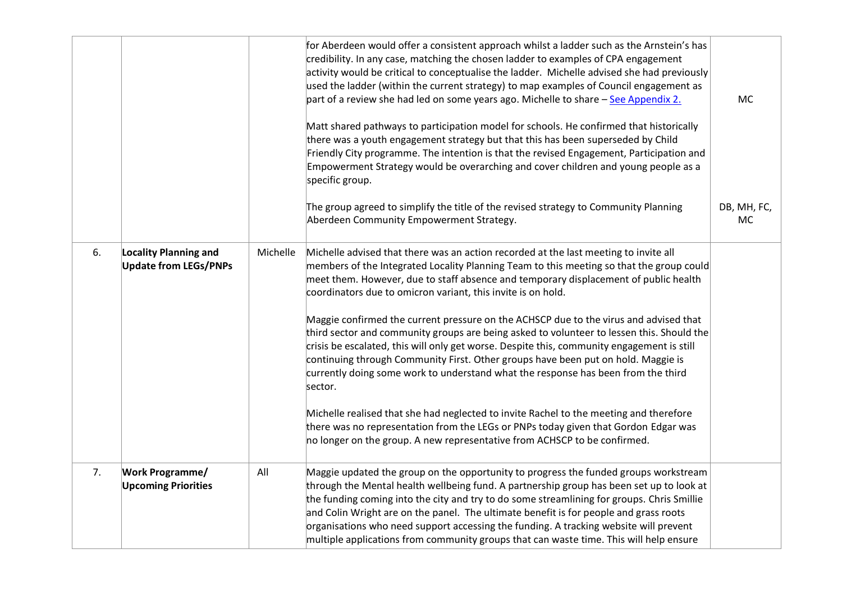|    |                                                              |          | for Aberdeen would offer a consistent approach whilst a ladder such as the Arnstein's has<br>credibility. In any case, matching the chosen ladder to examples of CPA engagement<br>activity would be critical to conceptualise the ladder. Michelle advised she had previously<br>used the ladder (within the current strategy) to map examples of Council engagement as<br>part of a review she had led on some years ago. Michelle to share - See Appendix 2.<br>Matt shared pathways to participation model for schools. He confirmed that historically<br>there was a youth engagement strategy but that this has been superseded by Child<br>Friendly City programme. The intention is that the revised Engagement, Participation and<br>Empowerment Strategy would be overarching and cover children and young people as a<br>specific group.<br>The group agreed to simplify the title of the revised strategy to Community Planning                                                                                                                                     | MC<br>DB, MH, FC, |
|----|--------------------------------------------------------------|----------|---------------------------------------------------------------------------------------------------------------------------------------------------------------------------------------------------------------------------------------------------------------------------------------------------------------------------------------------------------------------------------------------------------------------------------------------------------------------------------------------------------------------------------------------------------------------------------------------------------------------------------------------------------------------------------------------------------------------------------------------------------------------------------------------------------------------------------------------------------------------------------------------------------------------------------------------------------------------------------------------------------------------------------------------------------------------------------|-------------------|
|    |                                                              |          | Aberdeen Community Empowerment Strategy.                                                                                                                                                                                                                                                                                                                                                                                                                                                                                                                                                                                                                                                                                                                                                                                                                                                                                                                                                                                                                                        | <b>MC</b>         |
| 6. | <b>Locality Planning and</b><br><b>Update from LEGs/PNPs</b> | Michelle | Michelle advised that there was an action recorded at the last meeting to invite all<br>members of the Integrated Locality Planning Team to this meeting so that the group could<br>meet them. However, due to staff absence and temporary displacement of public health<br>coordinators due to omicron variant, this invite is on hold.<br>Maggie confirmed the current pressure on the ACHSCP due to the virus and advised that<br>third sector and community groups are being asked to volunteer to lessen this. Should the<br>crisis be escalated, this will only get worse. Despite this, community engagement is still<br>continuing through Community First. Other groups have been put on hold. Maggie is<br>currently doing some work to understand what the response has been from the third<br>sector.<br>Michelle realised that she had neglected to invite Rachel to the meeting and therefore<br>there was no representation from the LEGs or PNPs today given that Gordon Edgar was<br>no longer on the group. A new representative from ACHSCP to be confirmed. |                   |
| 7. | <b>Work Programme/</b><br><b>Upcoming Priorities</b>         | All      | Maggie updated the group on the opportunity to progress the funded groups workstream<br>through the Mental health wellbeing fund. A partnership group has been set up to look at<br>the funding coming into the city and try to do some streamlining for groups. Chris Smillie<br>and Colin Wright are on the panel. The ultimate benefit is for people and grass roots<br>organisations who need support accessing the funding. A tracking website will prevent<br>multiple applications from community groups that can waste time. This will help ensure                                                                                                                                                                                                                                                                                                                                                                                                                                                                                                                      |                   |